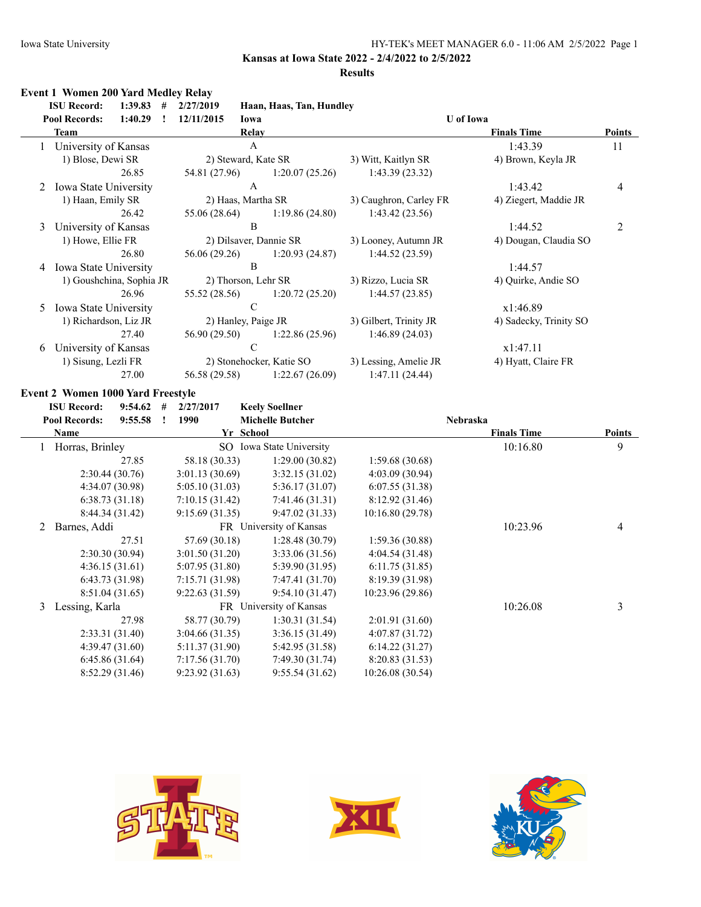### **Results**

# **Event 1 Women 200 Yard Medley Relay**

|    | <b>ISU Record:</b><br>1:39.83<br># | 2/27/2019     | Haan, Haas, Tan, Hundley |                        |                        |               |
|----|------------------------------------|---------------|--------------------------|------------------------|------------------------|---------------|
|    | <b>Pool Records:</b><br>1:40.29    | 12/11/2015    | Iowa                     | <b>U</b> of Iowa       |                        |               |
|    | Team                               |               | Relay                    |                        | <b>Finals Time</b>     | <b>Points</b> |
|    | University of Kansas               |               | A                        |                        | 1:43.39                | 11            |
|    | 1) Blose, Dewi SR                  |               | 2) Steward, Kate SR      | 3) Witt, Kaitlyn SR    | 4) Brown, Keyla JR     |               |
|    | 26.85                              | 54.81 (27.96) | 1:20.07(25.26)           | 1:43.39(23.32)         |                        |               |
| 2  | Iowa State University              |               | A                        |                        | 1:43.42                | 4             |
|    | 1) Haan, Emily SR                  |               | 2) Haas, Martha SR       | 3) Caughron, Carley FR | 4) Ziegert, Maddie JR  |               |
|    | 26.42                              | 55.06 (28.64) | 1:19.86(24.80)           | 1:43.42(23.56)         |                        |               |
| 3  | University of Kansas               |               | B                        |                        | 1:44.52                | 2             |
|    | 1) Howe, Ellie FR                  |               | 2) Dilsaver, Dannie SR   | 3) Looney, Autumn JR   | 4) Dougan, Claudia SO  |               |
|    | 26.80                              | 56.06 (29.26) | 1:20.93 (24.87)          | 1:44.52(23.59)         |                        |               |
| 4  | <b>Iowa State University</b>       |               | B                        |                        | 1:44.57                |               |
|    | 1) Goushchina, Sophia JR           |               | 2) Thorson, Lehr SR      | 3) Rizzo, Lucia SR     | 4) Quirke, Andie SO    |               |
|    | 26.96                              | 55.52 (28.56) | 1:20.72(25.20)           | 1:44.57(23.85)         |                        |               |
| 5. | <b>Iowa State University</b>       |               | $\mathcal{C}$            |                        | x1:46.89               |               |
|    | 1) Richardson, Liz JR              |               | 2) Hanley, Paige JR      | 3) Gilbert, Trinity JR | 4) Sadecky, Trinity SO |               |
|    | 27.40                              | 56.90 (29.50) | 1:22.86(25.96)           | 1:46.89(24.03)         |                        |               |
| 6  | University of Kansas               |               | $\mathcal{C}$            |                        | x1:47.11               |               |
|    | 1) Sisung, Lezli FR                |               | 2) Stonehocker, Katie SO | 3) Lessing, Amelie JR  | 4) Hyatt, Claire FR    |               |
|    | 27.00                              | 56.58 (29.58) | 1:22.67(26.09)           | 1:47.11(24.44)         |                        |               |

### **Event 2 Women 1000 Yard Freestyle**

|   | 9:54.62<br><b>ISU Record:</b>   | # | 2/27/2017      | <b>Keely Soellner</b>    |                  |                    |               |
|---|---------------------------------|---|----------------|--------------------------|------------------|--------------------|---------------|
|   | <b>Pool Records:</b><br>9:55.58 |   | 1990           | <b>Michelle Butcher</b>  |                  | Nebraska           |               |
|   | Name                            |   |                | Yr School                |                  | <b>Finals Time</b> | <b>Points</b> |
|   | Horras, Brinley                 |   |                | SO Iowa State University |                  | 10:16.80           | 9             |
|   | 27.85                           |   | 58.18 (30.33)  | 1:29.00(30.82)           | 1:59.68(30.68)   |                    |               |
|   | 2:30.44(30.76)                  |   | 3:01.13(30.69) | 3:32.15(31.02)           | 4:03.09(30.94)   |                    |               |
|   | 4:34.07(30.98)                  |   | 5:05.10(31.03) | 5:36.17(31.07)           | 6:07.55(31.38)   |                    |               |
|   | 6:38.73(31.18)                  |   | 7:10.15(31.42) | 7:41.46(31.31)           | 8:12.92(31.46)   |                    |               |
|   | 8:44.34(31.42)                  |   | 9:15.69(31.35) | 9:47.02(31.33)           | 10:16.80 (29.78) |                    |               |
| 2 | Barnes, Addi                    |   |                | FR University of Kansas  |                  | 10:23.96           | 4             |
|   | 27.51                           |   | 57.69 (30.18)  | 1:28.48(30.79)           | 1:59.36(30.88)   |                    |               |
|   | 2:30.30(30.94)                  |   | 3:01.50(31.20) | 3:33.06(31.56)           | 4:04.54(31.48)   |                    |               |
|   | 4:36.15(31.61)                  |   | 5:07.95(31.80) | 5:39.90 (31.95)          | 6:11.75(31.85)   |                    |               |
|   | 6:43.73(31.98)                  |   | 7:15.71(31.98) | 7:47.41 (31.70)          | 8:19.39 (31.98)  |                    |               |
|   | 8:51.04(31.65)                  |   | 9:22.63(31.59) | 9:54.10(31.47)           | 10:23.96(29.86)  |                    |               |
| 3 | Lessing, Karla                  |   |                | FR University of Kansas  |                  | 10:26.08           | 3             |
|   | 27.98                           |   | 58.77 (30.79)  | 1:30.31(31.54)           | 2:01.91(31.60)   |                    |               |
|   | 2:33.31(31.40)                  |   | 3:04.66(31.35) | 3:36.15(31.49)           | 4:07.87(31.72)   |                    |               |
|   | 4:39.47(31.60)                  |   | 5:11.37(31.90) | 5:42.95 (31.58)          | 6:14.22(31.27)   |                    |               |
|   | 6:45.86(31.64)                  |   | 7:17.56(31.70) | 7:49.30(31.74)           | 8:20.83(31.53)   |                    |               |
|   | 8:52.29 (31.46)                 |   | 9:23.92(31.63) | 9:55.54(31.62)           | 10:26.08 (30.54) |                    |               |





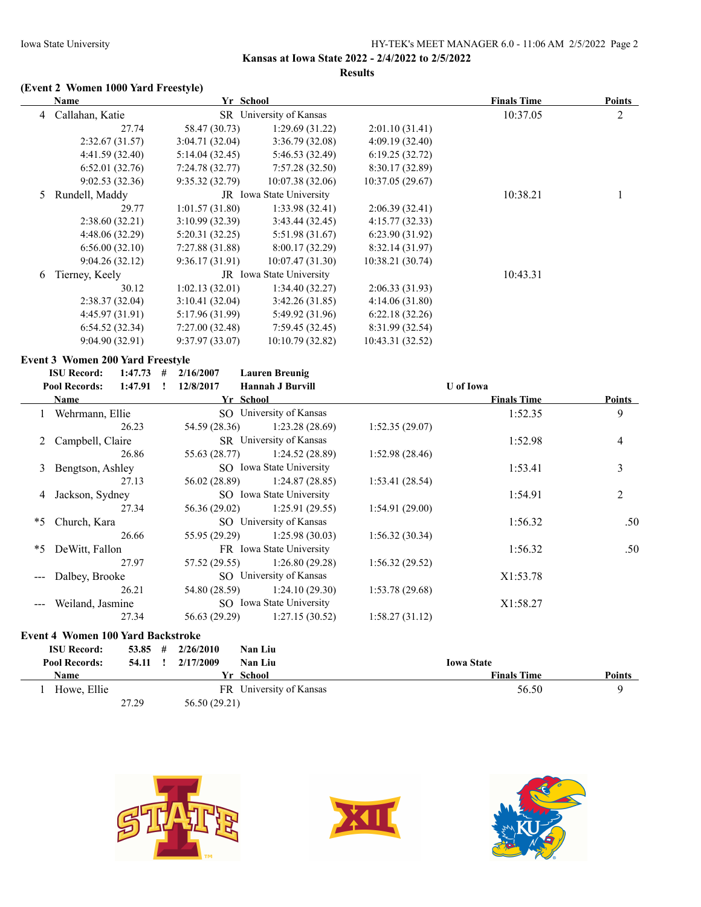### **Results**

# **(Event 2 Women 1000 Yard Freestyle)**

|    | Name                                           | Yr School                  |                          |                  | <b>Finals Time</b> | <b>Points</b>  |
|----|------------------------------------------------|----------------------------|--------------------------|------------------|--------------------|----------------|
|    | 4 Callahan, Katie                              |                            | SR University of Kansas  |                  | 10:37.05           | $\overline{2}$ |
|    | 27.74                                          | 58.47 (30.73)              | 1:29.69 (31.22)          | 2:01.10(31.41)   |                    |                |
|    | 2:32.67 (31.57)                                | 3:04.71(32.04)             | 3:36.79 (32.08)          | 4:09.19(32.40)   |                    |                |
|    | 4:41.59 (32.40)                                | 5:14.04(32.45)             | 5:46.53 (32.49)          | 6:19.25(32.72)   |                    |                |
|    | 6:52.01(32.76)                                 | 7:24.78(32.77)             | 7:57.28(32.50)           | 8:30.17 (32.89)  |                    |                |
|    | 9:02.53(32.36)                                 | 9:35.32(32.79)             | 10:07.38(32.06)          | 10:37.05 (29.67) |                    |                |
| 5  | Rundell, Maddy                                 |                            | JR Iowa State University |                  | 10:38.21           | 1              |
|    | 29.77                                          | 1:01.57(31.80)             | 1:33.98(32.41)           | 2:06.39 (32.41)  |                    |                |
|    | 2:38.60 (32.21)                                | 3:10.99 (32.39)            | 3:43.44 (32.45)          | 4:15.77 (32.33)  |                    |                |
|    | 4:48.06(32.29)                                 | 5:20.31 (32.25)            | 5:51.98(31.67)           | 6:23.90(31.92)   |                    |                |
|    | 6:56.00(32.10)                                 | 7:27.88 (31.88)            | 8:00.17 (32.29)          | 8:32.14(31.97)   |                    |                |
|    | 9:04.26(32.12)                                 | 9:36.17(31.91)             | 10:07.47 (31.30)         | 10:38.21 (30.74) |                    |                |
| 6  | Tierney, Keely                                 |                            | JR Iowa State University |                  | 10:43.31           |                |
|    | 30.12                                          | 1:02.13(32.01)             | 1:34.40(32.27)           | 2:06.33(31.93)   |                    |                |
|    | 2:38.37 (32.04)                                | 3:10.41(32.04)             | 3:42.26 (31.85)          | 4:14.06 (31.80)  |                    |                |
|    | 4:45.97 (31.91)                                | 5:17.96 (31.99)            | 5:49.92 (31.96)          | 6:22.18(32.26)   |                    |                |
|    | 6:54.52(32.34)                                 | 7:27.00(32.48)             | 7:59.45(32.45)           | 8:31.99 (32.54)  |                    |                |
|    | 9:04.90(32.91)                                 | 9:37.97 (33.07)            | 10:10.79 (32.82)         | 10:43.31 (32.52) |                    |                |
|    | <b>Event 3 Women 200 Yard Freestyle</b>        |                            |                          |                  |                    |                |
|    | <b>ISU Record:</b><br>$1:47.73$ #              | 2/16/2007                  | <b>Lauren Breunig</b>    |                  |                    |                |
|    | <b>Pool Records:</b><br>$1:47.91$ !            | 12/8/2017                  | <b>Hannah J Burvill</b>  |                  | <b>U</b> of Iowa   |                |
|    | <b>Name</b>                                    | Yr School                  |                          |                  | <b>Finals Time</b> | <b>Points</b>  |
|    | 1 Wehrmann, Ellie                              |                            | SO University of Kansas  |                  | 1:52.35            | 9              |
|    | 26.23                                          | 54.59 (28.36)              | 1:23.28(28.69)           | 1:52.35(29.07)   |                    |                |
| 2  | Campbell, Claire                               |                            | SR University of Kansas  |                  | 1:52.98            | 4              |
|    | 26.86                                          | 55.63 (28.77)              | 1:24.52(28.89)           | 1:52.98(28.46)   |                    |                |
| 3  | Bengtson, Ashley                               |                            | SO Iowa State University |                  | 1:53.41            | 3              |
|    | 27.13                                          | 56.02 (28.89)              | 1:24.87(28.85)           | 1:53.41(28.54)   |                    |                |
| 4  | Jackson, Sydney                                |                            | SO Iowa State University |                  | 1:54.91            | $\overline{2}$ |
|    | 27.34                                          | 56.36 (29.02)              | 1:25.91 (29.55)          | 1:54.91 (29.00)  |                    |                |
| *5 | Church, Kara                                   |                            | SO University of Kansas  |                  | 1:56.32            | .50            |
|    | 26.66                                          | 55.95 (29.29)              | 1:25.98(30.03)           | 1:56.32(30.34)   |                    |                |
|    |                                                |                            |                          |                  | 1:56.32            |                |
|    |                                                |                            |                          |                  |                    |                |
| *5 | DeWitt, Fallon                                 |                            | FR Iowa State University |                  |                    |                |
|    | 27.97                                          | 57.52 (29.55)              | 1:26.80(29.28)           | 1:56.32(29.52)   |                    |                |
|    | Dalbey, Brooke                                 |                            | SO University of Kansas  |                  | X1:53.78           |                |
|    | 26.21                                          | 54.80 (28.59)              | 1:24.10(29.30)           | 1:53.78(29.68)   |                    |                |
|    | Weiland, Jasmine                               |                            | SO Iowa State University |                  | X1:58.27           |                |
|    | 27.34                                          | 56.63 (29.29)              | 1:27.15(30.52)           | 1:58.27(31.12)   |                    | .50            |
|    | <b>Event 4 Women 100 Yard Backstroke</b>       |                            |                          |                  |                    |                |
|    | <b>ISU Record:</b><br>53.85<br>#               | 2/26/2010                  | Nan Liu                  |                  |                    |                |
|    | <b>Pool Records:</b><br>$54.11$ !<br><b>BT</b> | 2/17/2009<br>$\sim$ $\sim$ | Nan Liu                  |                  | <b>Iowa State</b>  |                |







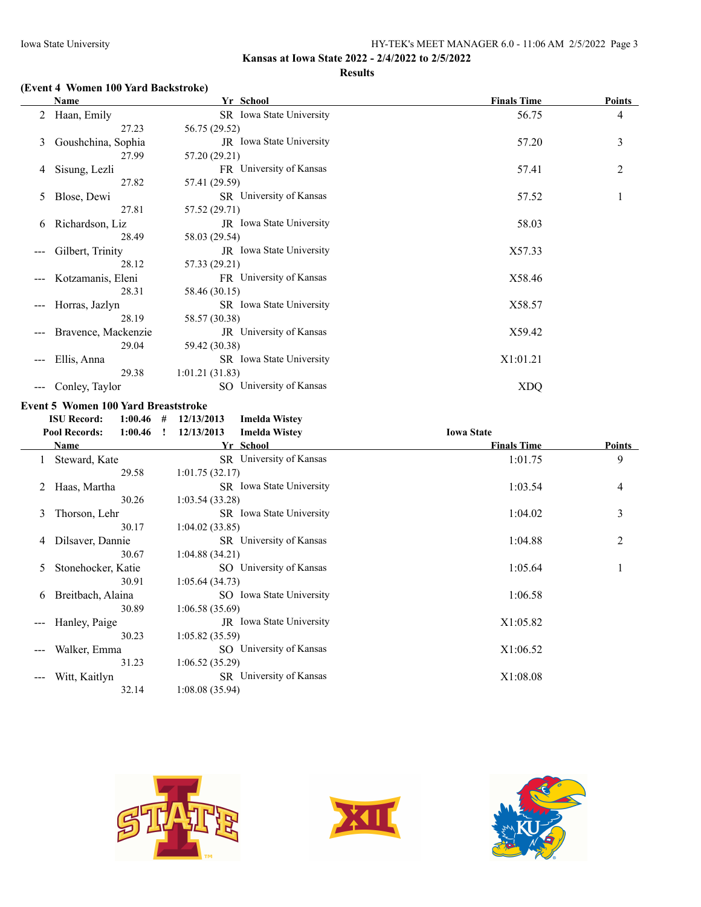### **Results**

### **(Event 4 Women 100 Yard Backstroke)**

|   | Name                | Yr School                       | <b>Finals Time</b> | <b>Points</b>  |
|---|---------------------|---------------------------------|--------------------|----------------|
| 2 | Haan, Emily         | SR Iowa State University        | 56.75              | $\overline{4}$ |
|   | 27.23               | 56.75 (29.52)                   |                    |                |
| 3 | Goushchina, Sophia  | JR Iowa State University        | 57.20              | 3              |
|   | 27.99               | 57.20 (29.21)                   |                    |                |
| 4 | Sisung, Lezli       | FR University of Kansas         | 57.41              | $\overline{c}$ |
|   | 27.82               | 57.41 (29.59)                   |                    |                |
| 5 | Blose, Dewi         | <b>SR</b> University of Kansas  | 57.52              | 1              |
|   | 27.81               | 57.52 (29.71)                   |                    |                |
| 6 | Richardson, Liz     | <b>JR</b> Iowa State University | 58.03              |                |
|   | 28.49               | 58.03 (29.54)                   |                    |                |
|   | Gilbert, Trinity    | JR Iowa State University        | X57.33             |                |
|   | 28.12               | 57.33 (29.21)                   |                    |                |
|   | Kotzamanis, Eleni   | FR University of Kansas         | X58.46             |                |
|   | 28.31               | 58.46 (30.15)                   |                    |                |
|   | Horras, Jazlyn      | SR Iowa State University        | X58.57             |                |
|   | 28.19               | 58.57 (30.38)                   |                    |                |
|   | Bravence, Mackenzie | <b>JR</b> University of Kansas  | X59.42             |                |
|   | 29.04               | 59.42 (30.38)                   |                    |                |
|   | Ellis, Anna         | SR Iowa State University        | X1:01.21           |                |
|   | 29.38               | 1:01.21(31.83)                  |                    |                |
|   | Conley, Taylor      | SO University of Kansas         | <b>XDQ</b>         |                |

# **Event 5 Women 100 Yard Breaststroke**<br>**ISU Record:** 1:00.46 # 12/13/20

|     | <b>ISU Record:</b><br>1:00.46   | # | 12/13/2013<br><b>Imelda Wistey</b> |                    |               |
|-----|---------------------------------|---|------------------------------------|--------------------|---------------|
|     | <b>Pool Records:</b><br>1:00.46 | T | 12/13/2013<br><b>Imelda Wistey</b> | <b>Iowa State</b>  |               |
|     | Name                            |   | Yr School                          | <b>Finals Time</b> | <b>Points</b> |
|     | Steward, Kate                   |   | SR University of Kansas            | 1:01.75            | 9             |
|     | 29.58                           |   | 1:01.75(32.17)                     |                    |               |
|     | Haas, Martha                    |   | SR Iowa State University           | 1:03.54            | 4             |
|     | 30.26                           |   | 1:03.54(33.28)                     |                    |               |
| 3   | Thorson, Lehr                   |   | SR Iowa State University           | 1:04.02            | 3             |
|     | 30.17                           |   | 1:04.02(33.85)                     |                    |               |
| 4   | Dilsaver, Dannie                |   | SR University of Kansas            | 1:04.88            | 2             |
|     | 30.67                           |   | 1:04.88(34.21)                     |                    |               |
| 5.  | Stonehocker, Katie              |   | SO University of Kansas            | 1:05.64            |               |
|     | 30.91                           |   | 1:05.64(34.73)                     |                    |               |
| 6   | Breitbach, Alaina               |   | SO Iowa State University           | 1:06.58            |               |
|     | 30.89                           |   | 1:06.58(35.69)                     |                    |               |
| --- | Hanley, Paige                   |   | JR Iowa State University           | X1:05.82           |               |
|     | 30.23                           |   | 1:05.82(35.59)                     |                    |               |
|     | Walker, Emma                    |   | SO University of Kansas            | X1:06.52           |               |
|     | 31.23                           |   | 1:06.52(35.29)                     |                    |               |
|     | Witt, Kaitlyn                   |   | SR University of Kansas            | X1:08.08           |               |
|     | 32.14                           |   | 1:08.08(35.94)                     |                    |               |





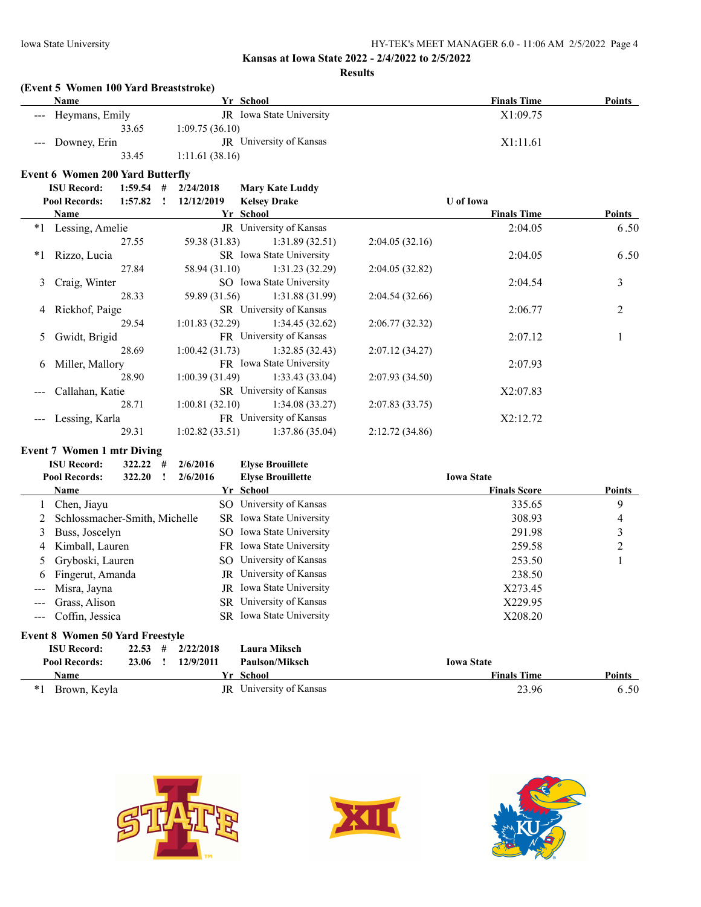### **Results**

### **(Event 5 Women 100 Yard Breaststroke)**

| Name               | Yr School                | <b>Finals Time</b> | <b>Points</b> |
|--------------------|--------------------------|--------------------|---------------|
| --- Heymans, Emily | JR Iowa State University | X1:09.75           |               |
| 33.65              | 1:09.75(36.10)           |                    |               |
| --- Downey, Erin   | JR University of Kansas  | X1:11.61           |               |
| 33.45              | 1:11.61(38.16)           |                    |               |

### **Event 6 Women 200 Yard Butterfly**

|      | <b>Pool Records:</b><br>1:57.82 | 12/12/2019     | <b>Kelsey Drake</b>            |                | <b>U</b> of Iowa   |               |
|------|---------------------------------|----------------|--------------------------------|----------------|--------------------|---------------|
|      | Name                            | Yr School      |                                |                | <b>Finals Time</b> | <b>Points</b> |
| $*1$ | Lessing, Amelie                 |                | JR University of Kansas        |                | 2:04.05            | 6.50          |
|      | 27.55                           | 59.38 (31.83)  | 1:31.89(32.51)                 | 2:04.05(32.16) |                    |               |
| $*1$ | Rizzo, Lucia                    |                | SR Iowa State University       |                | 2:04.05            | 6.50          |
|      | 27.84                           | 58.94 (31.10)  | 1:31.23(32.29)                 | 2:04.05(32.82) |                    |               |
|      | 3 Craig, Winter                 |                | SO Iowa State University       |                | 2:04.54            | 3             |
|      | 28.33                           | 59.89 (31.56)  | 1:31.88 (31.99)                | 2:04.54(32.66) |                    |               |
|      | 4 Riekhof, Paige                |                | <b>SR</b> University of Kansas |                | 2:06.77            | 2             |
|      | 29.54                           | 1:01.83(32.29) | 1:34.45(32.62)                 | 2:06.77(32.32) |                    |               |
|      | 5 Gwidt, Brigid                 |                | FR University of Kansas        |                | 2:07.12            |               |
|      | 28.69                           | 1:00.42(31.73) | 1:32.85(32.43)                 | 2:07.12(34.27) |                    |               |
| 6    | Miller, Mallory                 |                | FR Iowa State University       |                | 2:07.93            |               |
|      | 28.90                           | 1:00.39(31.49) | 1:33.43(33.04)                 | 2:07.93(34.50) |                    |               |
|      | Callahan, Katie                 |                | SR University of Kansas        |                | X2:07.83           |               |
|      | 28.71                           | 1:00.81(32.10) | 1:34.08(33.27)                 | 2:07.83(33.75) |                    |               |
|      | Lessing, Karla                  |                | FR University of Kansas        |                | X2:12.72           |               |
|      | 29.31                           | 1:02.82(33.51) | 1:37.86(35.04)                 | 2:12.72(34.86) |                    |               |

#### **Event 7 Women 1 mtr Diving**

|                   | <b>ISU Record:</b>                     | 322.22 | # | 2/6/2016  |     | <b>Elyse Brouillete</b>         |                     |               |
|-------------------|----------------------------------------|--------|---|-----------|-----|---------------------------------|---------------------|---------------|
|                   | <b>Pool Records:</b>                   | 322.20 |   | 2/6/2016  |     | <b>Elyse Brouillette</b>        | <b>Iowa State</b>   |               |
|                   | Name                                   |        |   |           |     | Yr School                       | <b>Finals Score</b> | Points        |
|                   | Chen, Jiayu                            |        |   |           |     | SO University of Kansas         | 335.65              | 9             |
|                   | Schlossmacher-Smith, Michelle          |        |   |           |     | SR Iowa State University        | 308.93              | 4             |
| 3                 | Buss, Joscelyn                         |        |   |           | SO. | Iowa State University           | 291.98              | 3             |
| 4                 | Kimball, Lauren                        |        |   |           |     | FR Iowa State University        | 259.58              | 2             |
| $\mathcal{L}$     | Gryboski, Lauren                       |        |   |           |     | SO University of Kansas         | 253.50              |               |
| 6                 | Fingerut, Amanda                       |        |   |           | JR  | University of Kansas            | 238.50              |               |
| $\qquad \qquad -$ | Misra, Jayna                           |        |   |           |     | <b>JR</b> Iowa State University | X273.45             |               |
|                   | Grass, Alison                          |        |   |           |     | SR University of Kansas         | X229.95             |               |
| $\qquad \qquad -$ | Coffin, Jessica                        |        |   |           |     | <b>SR</b> Iowa State University | X208.20             |               |
|                   | <b>Event 8 Women 50 Yard Freestyle</b> |        |   |           |     |                                 |                     |               |
|                   | <b>ISU Record:</b>                     | 22.53  | # | 2/22/2018 |     | <b>Laura Miksch</b>             |                     |               |
|                   | <b>Pool Records:</b>                   | 23.06  |   | 12/9/2011 |     | <b>Paulson/Miksch</b>           | <b>Iowa State</b>   |               |
|                   | Name                                   |        |   |           |     | Yr School                       | <b>Finals Time</b>  | <b>Points</b> |

\*1 Brown, Keyla JR University of Kansas 23.96 6 . 50





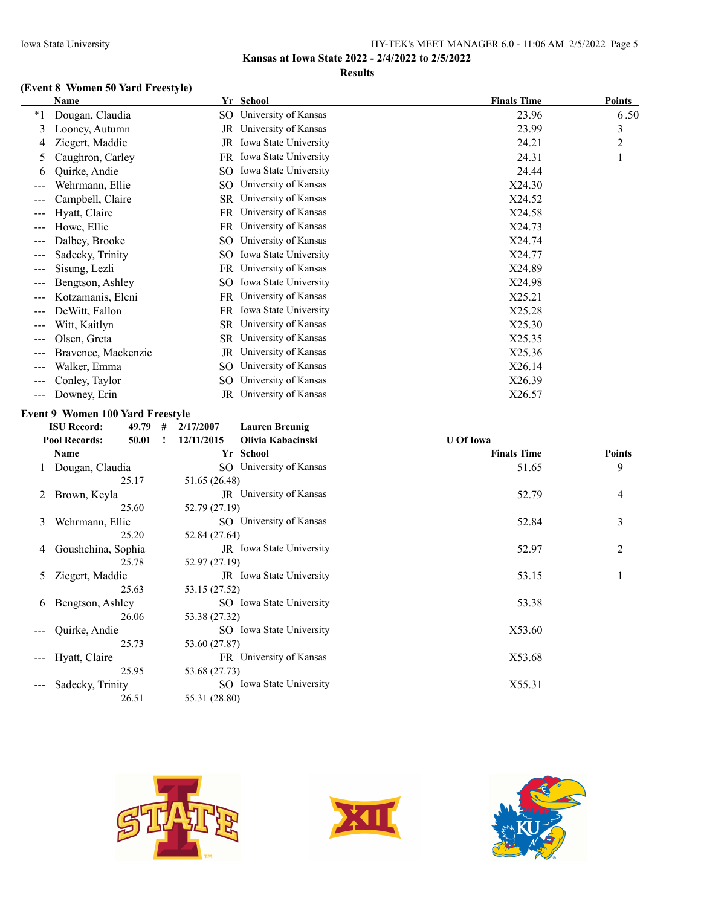### **Results**

# **(Event 8 Women 50 Yard Freestyle)**

|                        | Name                |     | Yr School               | <b>Finals Time</b> | <b>Points</b> |
|------------------------|---------------------|-----|-------------------------|--------------------|---------------|
| $*_{1}$                | Dougan, Claudia     | SO. | University of Kansas    | 23.96              | 6.50          |
| 3                      | Looney, Autumn      | JR  | University of Kansas    | 23.99              | 3             |
| 4                      | Ziegert, Maddie     | JR  | Iowa State University   | 24.21              | 2             |
| 5                      | Caughron, Carley    | FR  | Iowa State University   | 24.31              |               |
| 6                      | Quirke, Andie       | SO  | Iowa State University   | 24.44              |               |
| $---$                  | Wehrmann, Ellie     | SO  | University of Kansas    | X24.30             |               |
| $---$                  | Campbell, Claire    | SR  | University of Kansas    | X24.52             |               |
|                        | Hyatt, Claire       | FR  | University of Kansas    | X24.58             |               |
| $---$                  | Howe, Ellie         |     | FR University of Kansas | X24.73             |               |
| $---$                  | Dalbey, Brooke      | SO  | University of Kansas    | X24.74             |               |
| $---$                  | Sadecky, Trinity    | SO. | Iowa State University   | X24.77             |               |
| $---$                  | Sisung, Lezli       | FR  | University of Kansas    | X24.89             |               |
| $---$                  | Bengtson, Ashley    | SO  | Iowa State University   | X24.98             |               |
| $---$                  | Kotzamanis, Eleni   | FR  | University of Kansas    | X25.21             |               |
| ---                    | DeWitt, Fallon      | FR  | Iowa State University   | X25.28             |               |
| $--$                   | Witt, Kaitlyn       |     | SR University of Kansas | X25.30             |               |
| $---$                  | Olsen, Greta        | SR  | University of Kansas    | X25.35             |               |
| $---$                  | Bravence, Mackenzie | JR  | University of Kansas    | X25.36             |               |
| ---                    | Walker, Emma        | SO  | University of Kansas    | X26.14             |               |
| $\qquad \qquad \cdots$ | Conley, Taylor      | SO  | University of Kansas    | X26.39             |               |
| $---$                  | Downey, Erin        | JR  | University of Kansas    | X26.57             |               |

### **Event 9 Women 100 Yard Freestyle**

**ISU Record: 49.79 #**  $2/17/2007$ 

| <b>Lauren Breunig</b> |  |
|-----------------------|--|
|                       |  |

|       | <b>Pool Records:</b><br>50.01 | Olivia Kabacinski<br>12/11/2015 | <b>U</b> Of Iowa   |                |
|-------|-------------------------------|---------------------------------|--------------------|----------------|
|       | Name                          | Yr School                       | <b>Finals Time</b> | <b>Points</b>  |
|       | Dougan, Claudia               | SO University of Kansas         | 51.65              | 9              |
|       | 25.17                         | 51.65 (26.48)                   |                    |                |
| 2     | Brown, Keyla                  | <b>JR</b> University of Kansas  | 52.79              | 4              |
|       | 25.60                         | 52.79 (27.19)                   |                    |                |
| 3     | Wehrmann, Ellie               | SO University of Kansas         | 52.84              | 3              |
|       | 25.20                         | 52.84 (27.64)                   |                    |                |
| 4     | Goushchina, Sophia            | JR Iowa State University        | 52.97              | $\overline{2}$ |
|       | 25.78                         | 52.97 (27.19)                   |                    |                |
| 5     | Ziegert, Maddie               | JR Iowa State University        | 53.15              |                |
|       | 25.63                         | 53.15 (27.52)                   |                    |                |
| 6     | Bengtson, Ashley              | SO Iowa State University        | 53.38              |                |
|       | 26.06                         | 53.38 (27.32)                   |                    |                |
|       | Quirke, Andie                 | SO Iowa State University        | X53.60             |                |
|       | 25.73                         | 53.60 (27.87)                   |                    |                |
| $---$ | Hyatt, Claire                 | FR University of Kansas         | X53.68             |                |
|       | 25.95                         | 53.68 (27.73)                   |                    |                |
|       | Sadecky, Trinity              | SO Iowa State University        | X55.31             |                |
|       | 26.51                         | 55.31 (28.80)                   |                    |                |





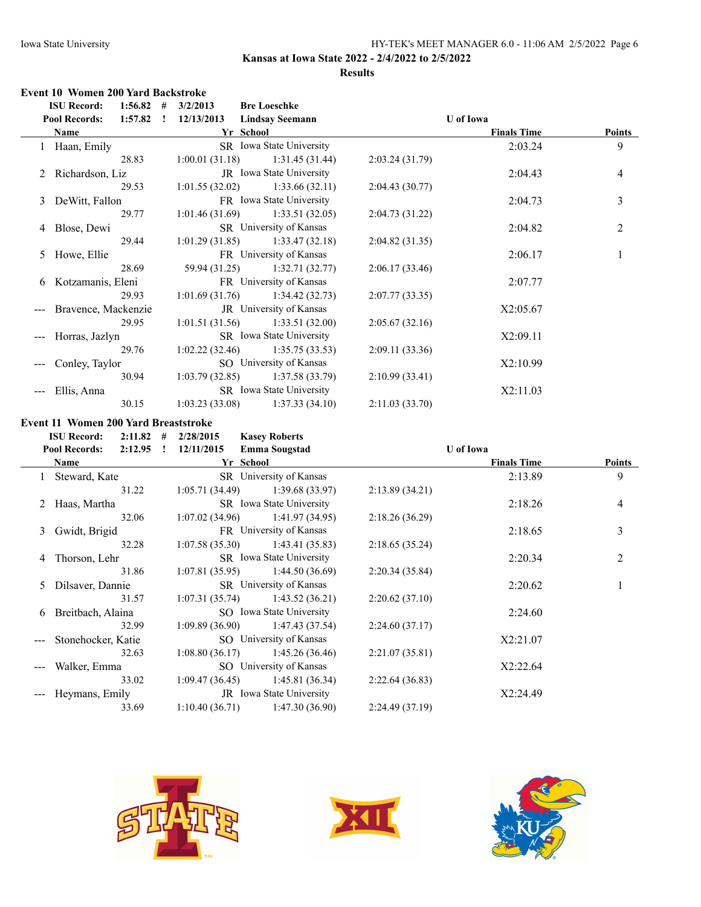### **Results**

# **Event 10 Women 200 Yard Backstroke**

|       | <b>ISU Record:</b><br>1:56.82              | #<br>3/2/2013  | <b>Bre Loeschke</b>            |                |                    |               |
|-------|--------------------------------------------|----------------|--------------------------------|----------------|--------------------|---------------|
|       | 1:57.82<br><b>Pool Records:</b><br>$\cdot$ | 12/13/2013     | <b>Lindsay Seemann</b>         |                | <b>U</b> of Iowa   |               |
|       | Name                                       | Yr School      |                                |                | <b>Finals Time</b> | <b>Points</b> |
|       | Haan, Emily                                |                | SR Iowa State University       |                | 2:03.24            | 9             |
|       | 28.83                                      | 1:00.01(31.18) | 1:31.45(31.44)                 | 2:03.24(31.79) |                    |               |
|       | 2 Richardson, Liz                          |                | JR Iowa State University       |                | 2:04.43            | 4             |
|       | 29.53                                      | 1:01.55(32.02) | 1:33.66(32.11)                 | 2:04.43(30.77) |                    |               |
|       | 3 DeWitt, Fallon                           |                | FR Iowa State University       |                | 2:04.73            | 3             |
|       | 29.77                                      | 1:01.46(31.69) | 1:33.51(32.05)                 | 2:04.73(31.22) |                    |               |
|       | 4 Blose, Dewi                              |                | SR University of Kansas        |                | 2:04.82            | 2             |
|       | 29.44                                      | 1:01.29(31.85) | 1:33.47(32.18)                 | 2:04.82(31.35) |                    |               |
|       | 5 Howe, Ellie                              |                | FR University of Kansas        |                | 2:06.17            |               |
|       | 28.69                                      |                | $59.94(31.25)$ 1:32.71 (32.77) | 2:06.17(33.46) |                    |               |
|       | 6 Kotzamanis, Eleni                        |                | FR University of Kansas        |                | 2:07.77            |               |
|       | 29.93                                      | 1:01.69(31.76) | 1:34.42 (32.73)                | 2:07.77(33.35) |                    |               |
|       | Bravence, Mackenzie                        |                | JR University of Kansas        |                | X2:05.67           |               |
|       | 29.95                                      | 1:01.51(31.56) | 1:33.51(32.00)                 | 2:05.67(32.16) |                    |               |
|       | Horras, Jazlyn                             |                | SR Iowa State University       |                | X2:09.11           |               |
|       | 29.76                                      | 1:02.22(32.46) | 1:35.75(33.53)                 | 2:09.11(33.36) |                    |               |
| $---$ | Conley, Taylor                             |                | SO University of Kansas        |                | X2:10.99           |               |
|       | 30.94                                      | 1:03.79(32.85) | 1:37.58(33.79)                 | 2:10.99(33.41) |                    |               |
|       | Ellis, Anna                                |                | SR Iowa State University       |                | X2:11.03           |               |
|       | 30.15                                      | 1:03.23(33.08) | 1:37.33(34.10)                 | 2:11.03(33.70) |                    |               |

### **Event 11 Women 200 Yard Breaststroke**

|   | <b>ISU Record:</b><br>2:11.82   | #  | 2/28/2015      | <b>Kasey Roberts</b>            |                |                    |               |
|---|---------------------------------|----|----------------|---------------------------------|----------------|--------------------|---------------|
|   | <b>Pool Records:</b><br>2:12.95 | I. | 12/11/2015     | <b>Emma Sougstad</b>            |                | U of Iowa          |               |
|   | Name                            |    |                | Yr School                       |                | <b>Finals Time</b> | <b>Points</b> |
|   | Steward, Kate                   |    |                | SR University of Kansas         |                | 2:13.89            | 9             |
|   | 31.22                           |    | 1:05.71(34.49) | 1:39.68 (33.97)                 | 2:13.89(34.21) |                    |               |
|   | 2 Haas, Martha                  |    |                | SR Iowa State University        |                | 2:18.26            | 4             |
|   | 32.06                           |    | 1:07.02(34.96) | 1:41.97(34.95)                  | 2:18.26(36.29) |                    |               |
| 3 | Gwidt, Brigid                   |    |                | FR University of Kansas         |                | 2:18.65            | 3             |
|   | 32.28                           |    | 1:07.58(35.30) | 1:43.41 (35.83)                 | 2:18.65(35.24) |                    |               |
| 4 | Thorson, Lehr                   |    |                | SR Iowa State University        |                | 2:20.34            | 2             |
|   | 31.86                           |    | 1:07.81(35.95) | 1:44.50(36.69)                  | 2:20.34(35.84) |                    |               |
| 5 | Dilsaver, Dannie                |    |                | SR University of Kansas         |                | 2:20.62            |               |
|   | 31.57                           |    | 1:07.31(35.74) | 1:43.52(36.21)                  | 2:20.62(37.10) |                    |               |
| 6 | Breitbach, Alaina               |    |                | SO Iowa State University        |                | 2:24.60            |               |
|   | 32.99                           |    | 1:09.89(36.90) | 1:47.43 (37.54)                 | 2:24.60(37.17) |                    |               |
|   | Stonehocker, Katie              |    |                | SO University of Kansas         |                | X2:21.07           |               |
|   | 32.63                           |    | 1:08.80(36.17) | 1:45.26(36.46)                  | 2:21.07(35.81) |                    |               |
|   | Walker, Emma                    |    |                | SO University of Kansas         |                | X2:22.64           |               |
|   | 33.02                           |    | 1:09.47(36.45) | 1:45.81 (36.34)                 | 2:22.64(36.83) |                    |               |
|   | Heymans, Emily                  |    |                | <b>JR</b> Iowa State University |                | X2:24.49           |               |
|   | 33.69                           |    | 1:10.40(36.71) | 1:47.30(36.90)                  | 2:24.49(37.19) |                    |               |





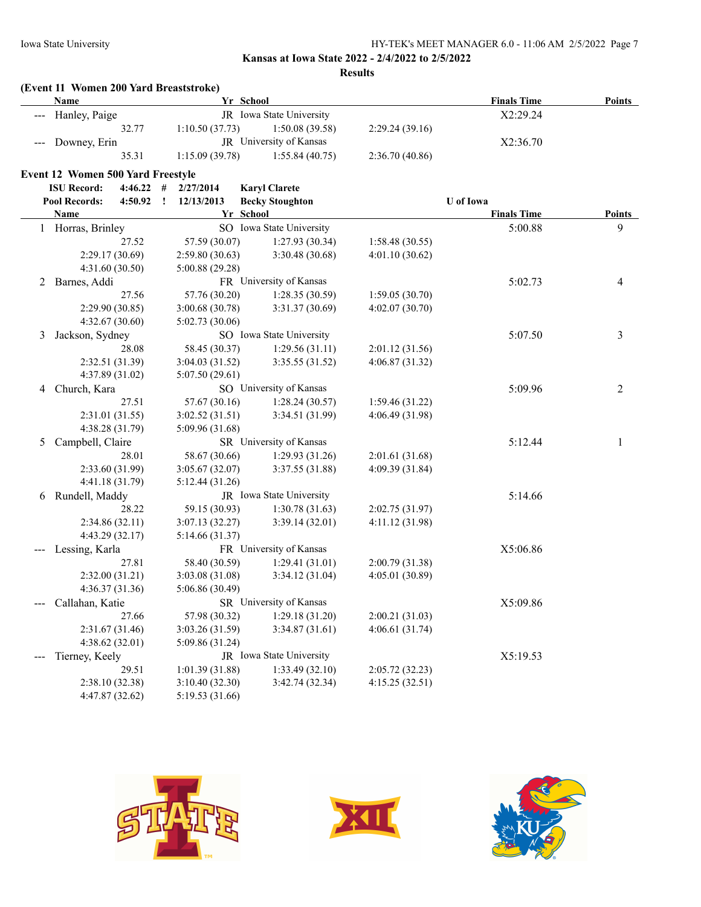**Results**

|     | (Event 11 Women 200 Yard Breaststroke)<br><b>Name</b> |                            | Yr School                |                 | <b>Finals Time</b> | <b>Points</b>  |
|-----|-------------------------------------------------------|----------------------------|--------------------------|-----------------|--------------------|----------------|
|     | Hanley, Paige                                         |                            | JR Iowa State University |                 | X2:29.24           |                |
|     | 32.77                                                 | 1:10.50(37.73)             | 1:50.08(39.58)           | 2:29.24(39.16)  |                    |                |
|     | Downey, Erin                                          |                            | JR University of Kansas  |                 | X2:36.70           |                |
|     | 35.31                                                 | 1:15.09 (39.78)            | 1:55.84(40.75)           | 2:36.70 (40.86) |                    |                |
|     |                                                       |                            |                          |                 |                    |                |
|     | <b>Event 12 Women 500 Yard Freestyle</b>              |                            |                          |                 |                    |                |
|     | <b>ISU Record:</b><br>4:46.22                         | #<br>2/27/2014             | <b>Karyl Clarete</b>     |                 |                    |                |
|     | <b>Pool Records:</b><br>4:50.92                       | $\mathbf{r}$<br>12/13/2013 | <b>Becky Stoughton</b>   |                 | <b>U</b> of Iowa   |                |
|     | <b>Name</b>                                           |                            | Yr School                |                 | <b>Finals Time</b> | <b>Points</b>  |
|     | 1 Horras, Brinley                                     |                            | SO Iowa State University |                 | 5:00.88            | 9              |
|     | 27.52                                                 | 57.59 (30.07)              | 1:27.93(30.34)           | 1:58.48(30.55)  |                    |                |
|     | 2:29.17 (30.69)                                       | 2:59.80(30.63)             | 3:30.48 (30.68)          | 4:01.10(30.62)  |                    |                |
|     | 4:31.60 (30.50)                                       | 5:00.88(29.28)             |                          |                 |                    |                |
| 2   | Barnes, Addi                                          |                            | FR University of Kansas  |                 | 5:02.73            | 4              |
|     | 27.56                                                 | 57.76 (30.20)              | 1:28.35(30.59)           | 1:59.05(30.70)  |                    |                |
|     | 2:29.90 (30.85)                                       | 3:00.68 (30.78)            | 3:31.37(30.69)           | 4:02.07(30.70)  |                    |                |
|     | 4:32.67(30.60)                                        | 5:02.73(30.06)             |                          |                 |                    |                |
| 3   | Jackson, Sydney                                       |                            | SO Iowa State University |                 | 5:07.50            | 3              |
|     | 28.08                                                 | 58.45 (30.37)              | 1:29.56(31.11)           | 2:01.12(31.56)  |                    |                |
|     | 2:32.51 (31.39)                                       | 3:04.03 (31.52)            | 3:35.55 (31.52)          | 4:06.87(31.32)  |                    |                |
|     | 4:37.89 (31.02)                                       | 5:07.50(29.61)             |                          |                 |                    |                |
| 4   | Church, Kara                                          |                            | SO University of Kansas  |                 | 5:09.96            | $\overline{2}$ |
|     | 27.51                                                 | 57.67 (30.16)              | 1:28.24(30.57)           | 1:59.46(31.22)  |                    |                |
|     | 2:31.01 (31.55)                                       | 3:02.52(31.51)             | 3:34.51 (31.99)          | 4:06.49 (31.98) |                    |                |
|     | 4:38.28 (31.79)                                       | 5:09.96 (31.68)            |                          |                 |                    |                |
| 5   | Campbell, Claire                                      |                            | SR University of Kansas  |                 | 5:12.44            | 1              |
|     | 28.01                                                 | 58.67 (30.66)              | 1:29.93(31.26)           | 2:01.61 (31.68) |                    |                |
|     | 2:33.60 (31.99)                                       | 3:05.67(32.07)             | 3:37.55 (31.88)          | 4:09.39 (31.84) |                    |                |
|     | 4:41.18 (31.79)                                       | 5:12.44(31.26)             |                          |                 |                    |                |
| 6   | Rundell, Maddy                                        |                            | JR Iowa State University |                 | 5:14.66            |                |
|     | 28.22                                                 | 59.15 (30.93)              | 1:30.78(31.63)           | 2:02.75 (31.97) |                    |                |
|     | 2:34.86 (32.11)                                       | 3:07.13 (32.27)            | 3:39.14(32.01)           | 4:11.12 (31.98) |                    |                |
|     | 4:43.29 (32.17)                                       | 5:14.66 (31.37)            |                          |                 |                    |                |
|     | Lessing, Karla                                        |                            | FR University of Kansas  |                 | X5:06.86           |                |
|     | 27.81                                                 | 58.40 (30.59)              | 1:29.41(31.01)           | 2:00.79 (31.38) |                    |                |
|     | 2:32.00(31.21)                                        | 3:03.08 (31.08)            | 3:34.12(31.04)           | 4:05.01 (30.89) |                    |                |
|     | 4:36.37 (31.36)                                       | 5:06.86 (30.49)            |                          |                 |                    |                |
| --- | Callahan, Katie                                       |                            | SR University of Kansas  |                 | X5:09.86           |                |
|     | 27.66                                                 | 57.98 (30.32)              | 1:29.18(31.20)           | 2:00.21 (31.03) |                    |                |
|     | 2:31.67 (31.46)                                       | 3:03.26 (31.59)            | 3:34.87(31.61)           | 4:06.61(31.74)  |                    |                |
|     |                                                       |                            |                          |                 |                    |                |
|     | 4:38.62 (32.01)                                       | 5:09.86 (31.24)            |                          |                 |                    |                |
|     | Tierney, Keely                                        |                            | JR Iowa State University |                 | X5:19.53           |                |
|     | 29.51                                                 | 1:01.39 (31.88)            | 1:33.49(32.10)           | 2:05.72(32.23)  |                    |                |
|     | 2:38.10 (32.38)                                       | 3:10.40 (32.30)            | 3:42.74 (32.34)          | 4:15.25(32.51)  |                    |                |
|     | 4:47.87 (32.62)                                       | 5:19.53 (31.66)            |                          |                 |                    |                |





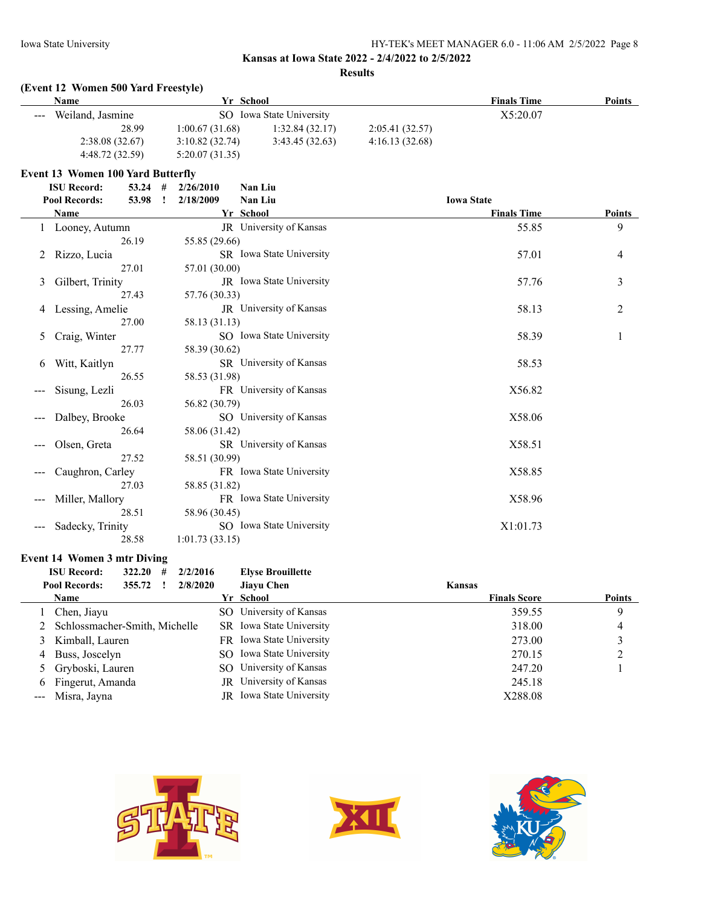### **Results**

### **(Event 12 Women 500 Yard Freestyle)**

| <b>Name</b>                                                                                                                                                                                                                                                                                                                                                                                                                                                                                    | Yr School      |                          |                | <b>Finals Time</b> | <b>Points</b> |
|------------------------------------------------------------------------------------------------------------------------------------------------------------------------------------------------------------------------------------------------------------------------------------------------------------------------------------------------------------------------------------------------------------------------------------------------------------------------------------------------|----------------|--------------------------|----------------|--------------------|---------------|
| Weiland, Jasmine<br>$\frac{1}{2} \left( \frac{1}{2} \right) \left( \frac{1}{2} \right) \left( \frac{1}{2} \right) \left( \frac{1}{2} \right) \left( \frac{1}{2} \right) \left( \frac{1}{2} \right) \left( \frac{1}{2} \right) \left( \frac{1}{2} \right) \left( \frac{1}{2} \right) \left( \frac{1}{2} \right) \left( \frac{1}{2} \right) \left( \frac{1}{2} \right) \left( \frac{1}{2} \right) \left( \frac{1}{2} \right) \left( \frac{1}{2} \right) \left( \frac{1}{2} \right) \left( \frac$ |                | SO Iowa State University |                | X5:20.07           |               |
| 28.99                                                                                                                                                                                                                                                                                                                                                                                                                                                                                          | 1:00.67(31.68) | 1:32.84(32.17)           | 2:05.41(32.57) |                    |               |
| 2:38.08(32.67)                                                                                                                                                                                                                                                                                                                                                                                                                                                                                 | 3:10.82(32.74) | 3:43.45(32.63)           | 4:16.13(32.68) |                    |               |
| 4:48.72 (32.59)                                                                                                                                                                                                                                                                                                                                                                                                                                                                                | 5:20.07(31.35) |                          |                |                    |               |

### **Event 13 Women 100 Yard Butterfly**

| <b>ISU Record:</b>    | $53.24$ # |    | 2/26/2010      | Nan Liu                  |                   |                    |               |
|-----------------------|-----------|----|----------------|--------------------------|-------------------|--------------------|---------------|
| Pool Records:         | 53.98     | -1 | 2/18/2009      | Nan Liu                  | <b>Iowa State</b> |                    |               |
| Name                  |           |    |                | Yr School                |                   | <b>Finals Time</b> | <b>Points</b> |
| 1 Looney, Autumn      |           |    |                | JR University of Kansas  |                   | 55.85              | 9             |
|                       | 26.19     |    | 55.85 (29.66)  |                          |                   |                    |               |
| Rizzo, Lucia<br>2     |           |    |                | SR Iowa State University |                   | 57.01              | 4             |
|                       | 27.01     |    | 57.01 (30.00)  |                          |                   |                    |               |
| Gilbert, Trinity<br>3 |           |    |                | JR Iowa State University |                   | 57.76              | 3             |
|                       | 27.43     |    | 57.76 (30.33)  |                          |                   |                    |               |
| Lessing, Amelie<br>4  |           |    |                | JR University of Kansas  |                   | 58.13              | 2             |
|                       | 27.00     |    | 58.13 (31.13)  |                          |                   |                    |               |
| Craig, Winter<br>5    |           |    |                | SO Iowa State University |                   | 58.39              | 1             |
|                       | 27.77     |    | 58.39 (30.62)  |                          |                   |                    |               |
| Witt, Kaitlyn<br>6    |           |    |                | SR University of Kansas  |                   | 58.53              |               |
|                       | 26.55     |    | 58.53 (31.98)  |                          |                   |                    |               |
| Sisung, Lezli         |           |    |                | FR University of Kansas  |                   | X56.82             |               |
|                       | 26.03     |    | 56.82 (30.79)  |                          |                   |                    |               |
| Dalbey, Brooke        |           |    |                | SO University of Kansas  |                   | X58.06             |               |
|                       | 26.64     |    | 58.06 (31.42)  |                          |                   |                    |               |
| Olsen, Greta          |           |    |                | SR University of Kansas  |                   | X58.51             |               |
|                       | 27.52     |    | 58.51 (30.99)  |                          |                   |                    |               |
| Caughron, Carley      |           |    |                | FR Iowa State University |                   | X58.85             |               |
|                       | 27.03     |    | 58.85 (31.82)  |                          |                   |                    |               |
| Miller, Mallory       |           |    |                | FR Iowa State University |                   | X58.96             |               |
|                       | 28.51     |    | 58.96 (30.45)  |                          |                   |                    |               |
| Sadecky, Trinity      |           |    |                | SO Iowa State University |                   | X1:01.73           |               |
|                       | 28.58     |    | 1:01.73(33.15) |                          |                   |                    |               |

### **Event 14 Women 3 mtr Diving**

| <b>ISU Record:</b>              | 322.20 | # | 2/2/2016 | <b>Elyse Brouillette</b>        |                     |               |
|---------------------------------|--------|---|----------|---------------------------------|---------------------|---------------|
| <b>Pool Records:</b>            | 355.72 |   | 2/8/2020 | <b>Jiavu Chen</b>               | Kansas              |               |
| <b>Name</b>                     |        |   |          | Yr School                       | <b>Finals Score</b> | <b>Points</b> |
| Chen, Jiayu                     |        |   |          | SO University of Kansas         | 359.55              | 9             |
| 2 Schlossmacher-Smith, Michelle |        |   |          | SR Iowa State University        | 318.00              | 4             |
| 3 Kimball, Lauren               |        |   |          | FR Iowa State University        | 273.00              |               |
| 4 Buss, Joscelyn                |        |   |          | SO Iowa State University        | 270.15              |               |
| 5 Gryboski, Lauren              |        |   |          | SO University of Kansas         | 247.20              |               |
| 6 Fingerut, Amanda              |        |   |          | <b>JR</b> University of Kansas  | 245.18              |               |
| --- Misra, Jayna                |        |   |          | <b>IR</b> Iowa State University | X288.08             |               |





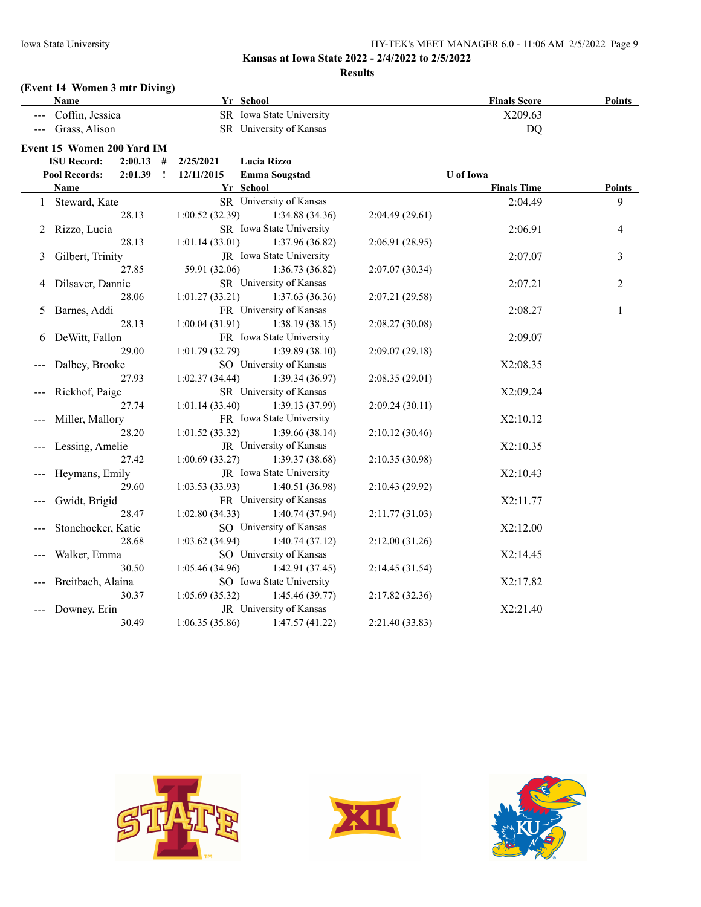### **Results**

# **(Event 14 Women 3 mtr Diving)**

| Name                          |                         |                | Yr School                |                 | <b>Finals Score</b> | <b>Points</b> |
|-------------------------------|-------------------------|----------------|--------------------------|-----------------|---------------------|---------------|
| Coffin, Jessica               |                         |                | SR Iowa State University |                 | X209.63             |               |
| Grass, Alison                 |                         |                | SR University of Kansas  |                 | DQ                  |               |
| Event 15 Women 200 Yard IM    |                         |                |                          |                 |                     |               |
| <b>ISU Record:</b>            | 2:00.13<br>#            | 2/25/2021      | Lucia Rizzo              |                 |                     |               |
| <b>Pool Records:</b>          | 2:01.39<br>$\mathbf{I}$ | 12/11/2015     | <b>Emma Sougstad</b>     |                 | <b>U</b> of Iowa    |               |
| <b>Name</b>                   |                         |                | Yr School                |                 | <b>Finals Time</b>  | Points        |
| Steward, Kate<br>$\mathbf{1}$ |                         |                | SR University of Kansas  |                 | 2:04.49             | 9             |
|                               | 28.13                   | 1:00.52(32.39) | 1:34.88 (34.36)          | 2:04.49(29.61)  |                     |               |
| Rizzo, Lucia<br>2             |                         |                | SR Iowa State University |                 | 2:06.91             | 4             |
|                               | 28.13                   | 1:01.14(33.01) | 1:37.96 (36.82)          | 2:06.91 (28.95) |                     |               |
| Gilbert, Trinity<br>3         |                         |                | JR Iowa State University |                 | 2:07.07             | 3             |
|                               | 27.85                   | 59.91 (32.06)  | 1:36.73(36.82)           | 2:07.07 (30.34) |                     |               |
| Dilsaver, Dannie<br>4         |                         |                | SR University of Kansas  |                 | 2:07.21             | $\mathbf{2}$  |
|                               | 28.06                   | 1:01.27(33.21) | 1:37.63(36.36)           | 2:07.21 (29.58) |                     |               |
| Barnes, Addi<br>5             |                         |                | FR University of Kansas  |                 | 2:08.27             | 1             |
|                               | 28.13                   | 1:00.04(31.91) | 1:38.19(38.15)           | 2:08.27(30.08)  |                     |               |
| DeWitt, Fallon<br>6           |                         |                | FR Iowa State University |                 | 2:09.07             |               |
|                               | 29.00                   | 1:01.79(32.79) | 1:39.89(38.10)           | 2:09.07(29.18)  |                     |               |
| Dalbey, Brooke                |                         |                | SO University of Kansas  |                 | X2:08.35            |               |
|                               | 27.93                   | 1:02.37(34.44) | 1:39.34 (36.97)          | 2:08.35(29.01)  |                     |               |
| Riekhof, Paige                |                         |                | SR University of Kansas  |                 | X2:09.24            |               |
|                               | 27.74                   | 1:01.14(33.40) | 1:39.13 (37.99)          | 2:09.24(30.11)  |                     |               |
| Miller, Mallory               |                         |                | FR Iowa State University |                 | X2:10.12            |               |
|                               | 28.20                   | 1:01.52(33.32) | 1:39.66(38.14)           | 2:10.12(30.46)  |                     |               |
| Lessing, Amelie               |                         |                | JR University of Kansas  |                 | X2:10.35            |               |
|                               | 27.42                   | 1:00.69(33.27) | 1:39.37(38.68)           | 2:10.35(30.98)  |                     |               |
| Heymans, Emily                |                         |                | JR Iowa State University |                 | X2:10.43            |               |
|                               | 29.60                   | 1:03.53(33.93) | 1:40.51 (36.98)          | 2:10.43(29.92)  |                     |               |
| Gwidt, Brigid                 |                         |                | FR University of Kansas  |                 | X2:11.77            |               |
|                               | 28.47                   | 1:02.80(34.33) | 1:40.74(37.94)           | 2:11.77(31.03)  |                     |               |
| Stonehocker, Katie            |                         |                | SO University of Kansas  |                 | X2:12.00            |               |
|                               | 28.68                   | 1:03.62(34.94) | 1:40.74(37.12)           | 2:12.00(31.26)  |                     |               |
| Walker, Emma                  |                         |                | SO University of Kansas  |                 | X2:14.45            |               |
|                               | 30.50                   | 1:05.46(34.96) | 1:42.91(37.45)           | 2:14.45(31.54)  |                     |               |
| Breitbach, Alaina             |                         |                | SO Iowa State University |                 | X2:17.82            |               |
|                               | 30.37                   | 1:05.69(35.32) | 1:45.46(39.77)           | 2:17.82(32.36)  |                     |               |
| Downey, Erin                  |                         |                | JR University of Kansas  |                 | X2:21.40            |               |
|                               | 30.49                   | 1:06.35(35.86) | 1:47.57(41.22)           | 2:21.40(33.83)  |                     |               |





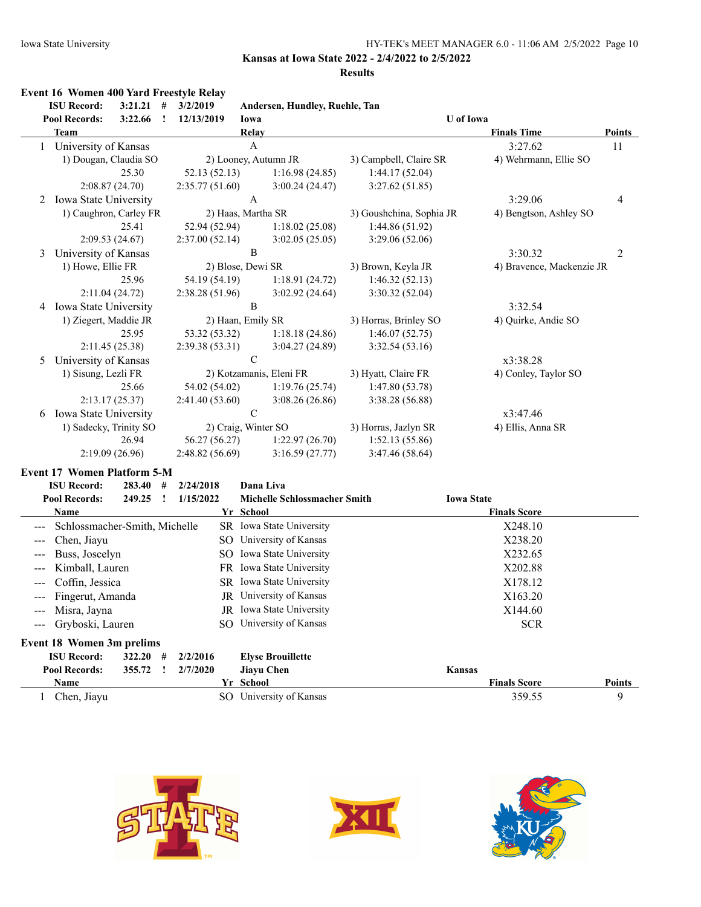### **Results**

|                     | <b>Event 16 Women 400 Yard Freestyle Relay</b> |                 |              |                   |                |                                     |                          |                   |                           |                |
|---------------------|------------------------------------------------|-----------------|--------------|-------------------|----------------|-------------------------------------|--------------------------|-------------------|---------------------------|----------------|
|                     | <b>ISU Record:</b>                             | $3:21.21$ #     |              | 3/2/2019          |                | Andersen, Hundley, Ruehle, Tan      |                          |                   |                           |                |
|                     | <b>Pool Records:</b>                           | 3:22.66         | $\mathbf{I}$ | 12/13/2019        | Iowa           |                                     |                          | <b>U</b> of Iowa  |                           |                |
|                     | <b>Team</b>                                    |                 |              |                   | Relay          |                                     |                          |                   | <b>Finals Time</b>        | <b>Points</b>  |
|                     | 1 University of Kansas                         |                 |              |                   | $\mathbf{A}$   |                                     |                          |                   | 3:27.62                   | 11             |
|                     | 1) Dougan, Claudia SO                          |                 |              |                   |                | 2) Looney, Autumn JR                | 3) Campbell, Claire SR   |                   | 4) Wehrmann, Ellie SO     |                |
|                     |                                                | 25.30           |              | 52.13 (52.13)     |                | 1:16.98(24.85)                      | 1:44.17(52.04)           |                   |                           |                |
|                     |                                                | 2:08.87(24.70)  |              | 2:35.77(51.60)    |                | 3:00.24(24.47)                      | 3:27.62(51.85)           |                   |                           |                |
| 2                   | <b>Iowa State University</b>                   |                 |              |                   | $\overline{A}$ |                                     |                          |                   | 3:29.06                   | 4              |
|                     | 1) Caughron, Carley FR                         |                 |              |                   |                | 2) Haas, Martha SR                  | 3) Goushchina, Sophia JR |                   | 4) Bengtson, Ashley SO    |                |
|                     |                                                | 25.41           |              | 52.94 (52.94)     |                | 1:18.02(25.08)                      | 1:44.86 (51.92)          |                   |                           |                |
|                     |                                                | 2:09.53(24.67)  |              | 2:37.00(52.14)    |                | 3:02.05(25.05)                      | 3:29.06 (52.06)          |                   |                           |                |
| 3                   | University of Kansas                           |                 |              |                   | $\bf{B}$       |                                     |                          |                   | 3:30.32                   | $\overline{2}$ |
|                     | 1) Howe, Ellie FR                              |                 |              | 2) Blose, Dewi SR |                |                                     | 3) Brown, Keyla JR       |                   | 4) Bravence, Mackenzie JR |                |
|                     |                                                | 25.96           |              | 54.19 (54.19)     |                | 1:18.91(24.72)                      | 1:46.32(52.13)           |                   |                           |                |
|                     |                                                | 2:11.04 (24.72) |              | 2:38.28(51.96)    |                | 3:02.92(24.64)                      | 3:30.32(52.04)           |                   |                           |                |
|                     | 4 Iowa State University                        |                 |              |                   | B              |                                     |                          |                   | 3:32.54                   |                |
|                     | 1) Ziegert, Maddie JR                          |                 |              | 2) Haan, Emily SR |                |                                     | 3) Horras, Brinley SO    |                   | 4) Quirke, Andie SO       |                |
|                     |                                                | 25.95           |              | 53.32 (53.32)     |                | 1:18.18(24.86)                      | 1:46.07(52.75)           |                   |                           |                |
|                     |                                                | 2:11.45 (25.38) |              | 2:39.38 (53.31)   |                | 3:04.27 (24.89)                     | 3:32.54(53.16)           |                   |                           |                |
| 5                   | University of Kansas                           |                 |              |                   | $\mathbf C$    |                                     |                          |                   | x3:38.28                  |                |
|                     | 1) Sisung, Lezli FR                            |                 |              |                   |                | 2) Kotzamanis, Eleni FR             | 3) Hyatt, Claire FR      |                   | 4) Conley, Taylor SO      |                |
|                     |                                                | 25.66           |              | 54.02 (54.02)     |                | 1:19.76(25.74)                      | 1:47.80(53.78)           |                   |                           |                |
|                     |                                                | 2:13.17(25.37)  |              | 2:41.40(53.60)    |                | 3:08.26(26.86)                      | 3:38.28 (56.88)          |                   |                           |                |
| 6                   | Iowa State University                          |                 |              |                   | ${\bf C}$      |                                     |                          |                   | x3:47.46                  |                |
|                     | 1) Sadecky, Trinity SO                         |                 |              |                   |                | 2) Craig, Winter SO                 | 3) Horras, Jazlyn SR     |                   | 4) Ellis, Anna SR         |                |
|                     |                                                | 26.94           |              | 56.27 (56.27)     |                | 1:22.97(26.70)                      | 1:52.13(55.86)           |                   |                           |                |
|                     |                                                | 2:19.09(26.96)  |              | 2:48.82 (56.69)   |                | 3:16.59(27.77)                      | 3:47.46 (58.64)          |                   |                           |                |
|                     | <b>Event 17 Women Platform 5-M</b>             |                 |              |                   |                |                                     |                          |                   |                           |                |
|                     | <b>ISU Record:</b>                             | 283.40          | #            | 2/24/2018         |                | Dana Liva                           |                          |                   |                           |                |
|                     | <b>Pool Records:</b>                           | 249.25          | $\mathbf{r}$ | 1/15/2022         |                | <b>Michelle Schlossmacher Smith</b> |                          | <b>Iowa State</b> |                           |                |
|                     | <b>Name</b>                                    |                 |              |                   | Yr School      |                                     |                          |                   | <b>Finals Score</b>       |                |
|                     | Schlossmacher-Smith, Michelle                  |                 |              |                   |                | SR Iowa State University            |                          |                   | X248.10                   |                |
|                     | Chen, Jiayu                                    |                 |              |                   |                | SO University of Kansas             |                          |                   | X238.20                   |                |
|                     | Buss, Joscelyn                                 |                 |              |                   |                | SO Iowa State University            |                          |                   | X232.65                   |                |
|                     | Kimball, Lauren                                |                 |              |                   |                | FR Iowa State University            |                          |                   | X202.88                   |                |
| $---$               | Coffin, Jessica                                |                 |              |                   |                | SR Iowa State University            |                          |                   | X178.12                   |                |
|                     | Fingerut, Amanda                               |                 |              |                   |                | JR University of Kansas             |                          |                   | X163.20                   |                |
| $\qquad \qquad - -$ | Misra, Jayna                                   |                 |              |                   |                | JR Iowa State University            |                          |                   | X144.60                   |                |

| Event 18 Women 3m prelims |            |  |          |                          |                     |               |  |  |  |
|---------------------------|------------|--|----------|--------------------------|---------------------|---------------|--|--|--|
| <b>ISU Record:</b>        | $322.20$ # |  | 2/2/2016 | <b>Elyse Brouillette</b> |                     |               |  |  |  |
| <b>Pool Records:</b>      | 355.72 !   |  | 2/7/2020 | Jiavu Chen               | <b>Kansas</b>       |               |  |  |  |
| Name                      |            |  |          | Yr School                | <b>Finals Score</b> | <b>Points</b> |  |  |  |
| Chen, Jiayu               |            |  |          | SO University of Kansas  | 359.55              |               |  |  |  |

--- Gryboski, Lauren SO University of Kansas SCR